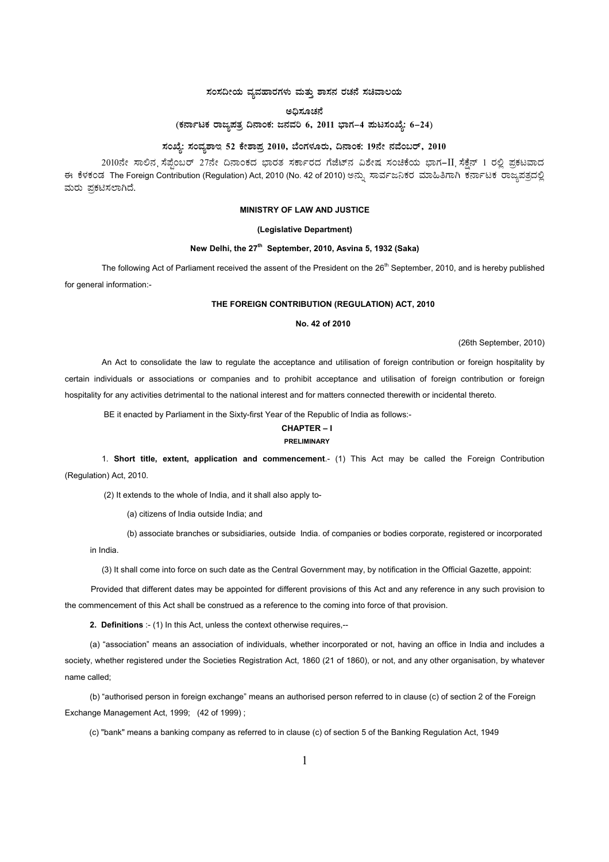# $\,$ ಸಂಸದೀಯ ವ್ಯವಹಾರಗಳು ಮತ್ತು ಶಾಸನ ರಚನೆ ಸಚಿವಾಲಯ

## ಅದಿಸೂಚನೆ

(ಕರ್ನಾಟಕ ರಾಜ್<mark>ನಪತ್ರ ದಿನಾಂಕ: ಜನವರಿ 6, 2011 ಭಾಗ–4 ಪುಟಸಂಖ್ಯೆ: 6–24</mark>)

# ಸಂಖ್ಯೆ: ಸಂವ್ಯಶಾಇ 52 ಕೇಶಾಪ್ರ 2010, ಬೆಂಗಳೂರು, ದಿನಾಂಕ: 19ನೇ ನವೆಂಬರ್, 2010

2010ನೇ ಸಾಲಿನ ನೆಪ್ಪೆಂಬರ್ 27ನೇ ದಿನಾಂಕದ ಭಾರತ ಸರ್ಕಾರದ ಗೆಜೆಟ್ನ ವಿಶೇಷ ಸಂಚಿಕೆಯ ಭಾಗ–II ಸೆಕ್ಷೆನ್ 1 ರಲ್ಲಿ ಪ್ರಕಟವಾದ ಈ ಕೆಳಕಂಡ The Foreign Contribution (Regulation) Act, 2010 (No. 42 of 2010) ಅನ್ಸು ಸಾರ್ವಜನಿಕರ ಮಾಹಿತಿಗಾಗಿ ಕರ್ನಾಟಕ ರಾಜ್ಯಪತ್ರದಲ್ಲಿ ಮರು ಪ್ರಕಟಿಸಲಾಗಿದೆ.

## **MINISTRY OF LAW AND JUSTICE**

## **(Legislative Department)**

## New Delhi, the 27<sup>th</sup> September, 2010, Asvina 5, 1932 (Saka)

The following Act of Parliament received the assent of the President on the 26<sup>th</sup> September, 2010, and is hereby published for general information:-

#### **THE FOREIGN CONTRIBUTION (REGULATION) ACT, 2010**

## **No. 42 of 2010**

(26th September, 2010)

An Act to consolidate the law to regulate the acceptance and utilisation of foreign contribution or foreign hospitality by certain individuals or associations or companies and to prohibit acceptance and utilisation of foreign contribution or foreign hospitality for any activities detrimental to the national interest and for matters connected therewith or incidental thereto.

BE it enacted by Parliament in the Sixty-first Year of the Republic of India as follows:-

#### **CHAPTER – I PRELIMINARY**

# 1. **Short title, extent, application and commencement**.- (1) This Act may be called the Foreign Contribution

(Regulation) Act, 2010.

(2) It extends to the whole of India, and it shall also apply to-

(a) citizens of India outside India; and

(b) associate branches or subsidiaries, outside India. of companies or bodies corporate, registered or incorporated

in India.

(3) It shall come into force on such date as the Central Government may, by notification in the Official Gazette, appoint:

Provided that different dates may be appointed for different provisions of this Act and any reference in any such provision to the commencement of this Act shall be construed as a reference to the coming into force of that provision.

**2. Definitions** :- (1) In this Act, unless the context otherwise requires,--

(a) "association" means an association of individuals, whether incorporated or not, having an office in India and includes a society, whether registered under the Societies Registration Act, 1860 (21 of 1860), or not, and any other organisation, by whatever name called;

(b) "authorised person in foreign exchange" means an authorised person referred to in clause (c) of section 2 of the Foreign Exchange Management Act, 1999; (42 of 1999) ;

(c) "bank" means a banking company as referred to in clause (c) of section 5 of the Banking Regulation Act, 1949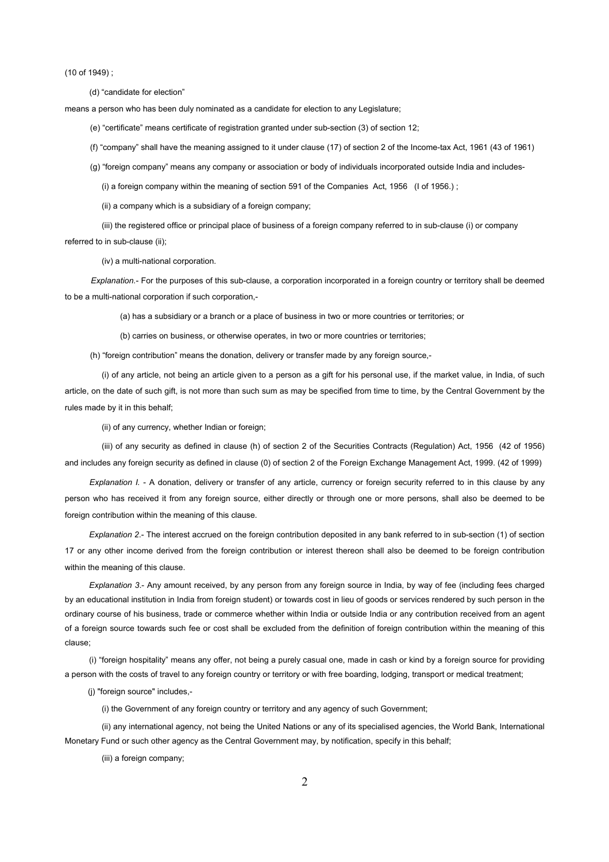(10 of 1949) ;

(d) "candidate for election"

means a person who has been duly nominated as a candidate for election to any Legislature;

(e) "certificate" means certificate of registration granted under sub-section (3) of section 12;

(f) "company" shall have the meaning assigned to it under clause (17) of section 2 of the Income-tax Act, 1961 (43 of 1961)

(g) "foreign company" means any company or association or body of individuals incorporated outside India and includes-

(i) a foreign company within the meaning of section 591 of the Companies Act, 1956 (I of 1956.) ;

(ii) a company which is a subsidiary of a foreign company;

(iii) the registered office or principal place of business of a foreign company referred to in sub-clause (i) or company

referred to in sub-clause (ii);

(iv) a multi-national corporation.

*Explanation.*- For the purposes of this sub-clause, a corporation incorporated in a foreign country or territory shall be deemed to be a multi-national corporation if such corporation,-

(a) has a subsidiary or a branch or a place of business in two or more countries or territories; or

(b) carries on business, or otherwise operates, in two or more countries or territories;

(h) "foreign contribution" means the donation, delivery or transfer made by any foreign source,-

(i) of any article, not being an article given to a person as a gift for his personal use, if the market value, in India, of such article, on the date of such gift, is not more than such sum as may be specified from time to time, by the Central Government by the rules made by it in this behalf;

(ii) of any currency, whether Indian or foreign;

(iii) of any security as defined in clause (h) of section 2 of the Securities Contracts (Regulation) Act, 1956 (42 of 1956) and includes any foreign security as defined in clause (0) of section 2 of the Foreign Exchange Management Act, 1999. (42 of 1999)

*Explanation I.* - A donation, delivery or transfer of any article, currency or foreign security referred to in this clause by any person who has received it from any foreign source, either directly or through one or more persons, shall also be deemed to be foreign contribution within the meaning of this clause.

*Explanation 2*.- The interest accrued on the foreign contribution deposited in any bank referred to in sub-section (1) of section 17 or any other income derived from the foreign contribution or interest thereon shall also be deemed to be foreign contribution within the meaning of this clause.

*Explanation 3*.- Any amount received, by any person from any foreign source in India, by way of fee (including fees charged by an educational institution in India from foreign student) or towards cost in lieu of goods or services rendered by such person in the ordinary course of his business, trade or commerce whether within India or outside India or any contribution received from an agent of a foreign source towards such fee or cost shall be excluded from the definition of foreign contribution within the meaning of this clause;

(i) "foreign hospitality" means any offer, not being a purely casual one, made in cash or kind by a foreign source for providing a person with the costs of travel to any foreign country or territory or with free boarding, lodging, transport or medical treatment;

(j) "foreign source" includes,-

(i) the Government of any foreign country or territory and any agency of such Government;

(ii) any international agency, not being the United Nations or any of its specialised agencies, the World Bank, International Monetary Fund or such other agency as the Central Government may, by notification, specify in this behalf;

(iii) a foreign company;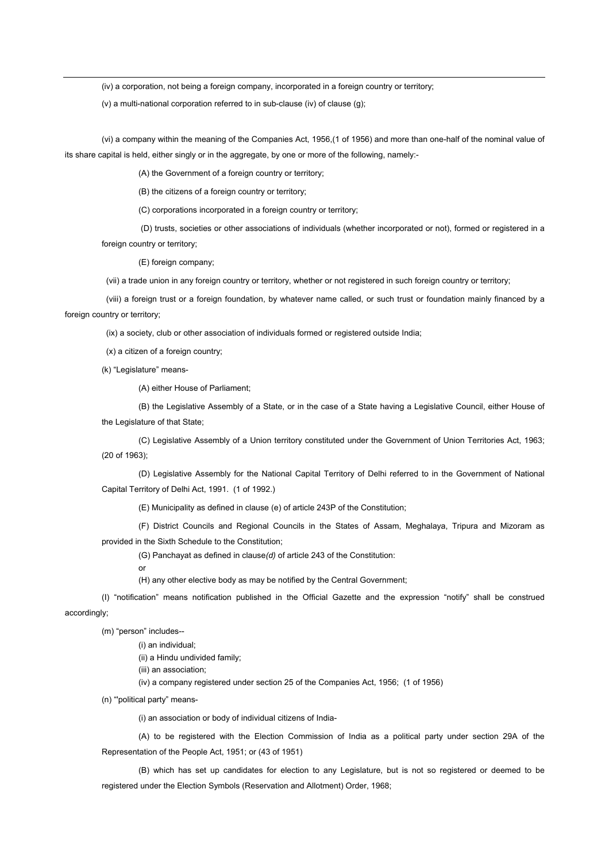(iv) a corporation, not being a foreign company, incorporated in a foreign country or territory;

(v) a multi-national corporation referred to in sub-clause (iv) of clause (g);

(vi) a company within the meaning of the Companies Act, 1956,(1 of 1956) and more than one-half of the nominal value of its share capital is held, either singly or in the aggregate, by one or more of the following, namely:-

(A) the Government of a foreign country or territory;

(B) the citizens of a foreign country or territory;

(C) corporations incorporated in a foreign country or territory;

 (D) trusts, societies or other associations of individuals (whether incorporated or not), formed or registered in a foreign country or territory:

(E) foreign company;

(vii) a trade union in any foreign country or territory, whether or not registered in such foreign country or territory;

 (viii) a foreign trust or a foreign foundation, by whatever name called, or such trust or foundation mainly financed by a foreign country or territory;

(ix) a society, club or other association of individuals formed or registered outside India;

(x) a citizen of a foreign country;

(k) "Legislature" means-

(A) either House of Parliament;

(B) the Legislative Assembly of a State, or in the case of a State having a Legislative Council, either House of the Legislature of that State;

(C) Legislative Assembly of a Union territory constituted under the Government of Union Territories Act, 1963; (20 of 1963);

(D) Legislative Assembly for the National Capital Territory of Delhi referred to in the Government of National Capital Territory of Delhi Act, 1991. (1 of 1992.)

(E) Municipality as defined in clause (e) of article 243P of the Constitution;

(F) District Councils and Regional Councils in the States of Assam, Meghalaya, Tripura and Mizoram as provided in the Sixth Schedule to the Constitution;

(G) Panchayat as defined in clause*(d)* of article 243 of the Constitution:

or

(H) any other elective body as may be notified by the Central Government;

(I) "notification" means notification published in the Official Gazette and the expression "notify" shall be construed accordingly;

(m) "person" includes--

(i) an individual;

(ii) a Hindu undivided family;

(iii) an association;

(iv) a company registered under section 25 of the Companies Act, 1956; (1 of 1956)

(n) "'political party" means-

(i) an association or body of individual citizens of India-

(A) to be registered with the Election Commission of India as a political party under section 29A of the Representation of the People Act, 1951; or (43 of 1951)

(B) which has set up candidates for election to any Legislature, but is not so registered or deemed to be registered under the Election Symbols (Reservation and Allotment) Order, 1968;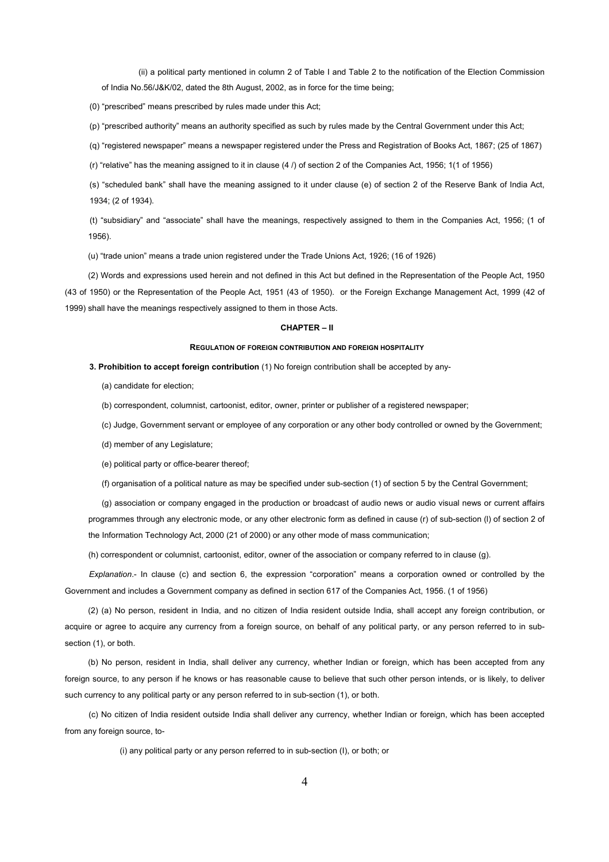(ii) a political party mentioned in column 2 of Table I and Table 2 to the notification of the Election Commission of India No.56/J&K/02, dated the 8th August, 2002, as in force for the time being;

(0) "prescribed" means prescribed by rules made under this Act;

(p) "prescribed authority" means an authority specified as such by rules made by the Central Government under this Act;

(q) "registered newspaper" means a newspaper registered under the Press and Registration of Books Act, 1867; (25 of 1867)

(r) "relative" has the meaning assigned to it in clause (4 /) of section 2 of the Companies Act, 1956; 1(1 of 1956)

(s) "scheduled bank" shall have the meaning assigned to it under clause (e) of section 2 of the Reserve Bank of India Act, 1934; (2 of 1934).

(t) "subsidiary" and "associate" shall have the meanings, respectively assigned to them in the Companies Act, 1956; (1 of 1956).

(u) "trade union" means a trade union registered under the Trade Unions Act, 1926; (16 of 1926)

(2) Words and expressions used herein and not defined in this Act but defined in the Representation of the People Act, 1950 (43 of 1950) or the Representation of the People Act, 1951 (43 of 1950). or the Foreign Exchange Management Act, 1999 (42 of 1999) shall have the meanings respectively assigned to them in those Acts.

#### **CHAPTER – II**

#### **REGULATION OF FOREIGN CONTRIBUTION AND FOREIGN HOSPITALITY**

**3. Prohibition to accept foreign contribution** (1) No foreign contribution shall be accepted by any-

- (a) candidate for election;
- (b) correspondent, columnist, cartoonist, editor, owner, printer or publisher of a registered newspaper;
- (c) Judge, Government servant or employee of any corporation or any other body controlled or owned by the Government;
- (d) member of any Legislature;
- (e) political party or office-bearer thereof;

(f) organisation of a political nature as may be specified under sub-section (1) of section 5 by the Central Government;

(g) association or company engaged in the production or broadcast of audio news or audio visual news or current affairs programmes through any electronic mode, or any other electronic form as defined in cause (r) of sub-section (l) of section 2 of the Information Technology Act, 2000 (21 of 2000) or any other mode of mass communication;

(h) correspondent or columnist, cartoonist, editor, owner of the association or company referred to in clause (g).

*Explanation*.- In clause (c) and section 6, the expression "corporation" means a corporation owned or controlled by the Government and includes a Government company as defined in section 617 of the Companies Act, 1956. (1 of 1956)

(2) (a) No person, resident in India, and no citizen of India resident outside India, shall accept any foreign contribution, or acquire or agree to acquire any currency from a foreign source, on behalf of any political party, or any person referred to in subsection (1), or both.

(b) No person, resident in India, shall deliver any currency, whether Indian or foreign, which has been accepted from any foreign source, to any person if he knows or has reasonable cause to believe that such other person intends, or is likely, to deliver such currency to any political party or any person referred to in sub-section (1), or both.

(c) No citizen of India resident outside India shall deliver any currency, whether Indian or foreign, which has been accepted from any foreign source, to-

(i) any political party or any person referred to in sub-section (I), or both; or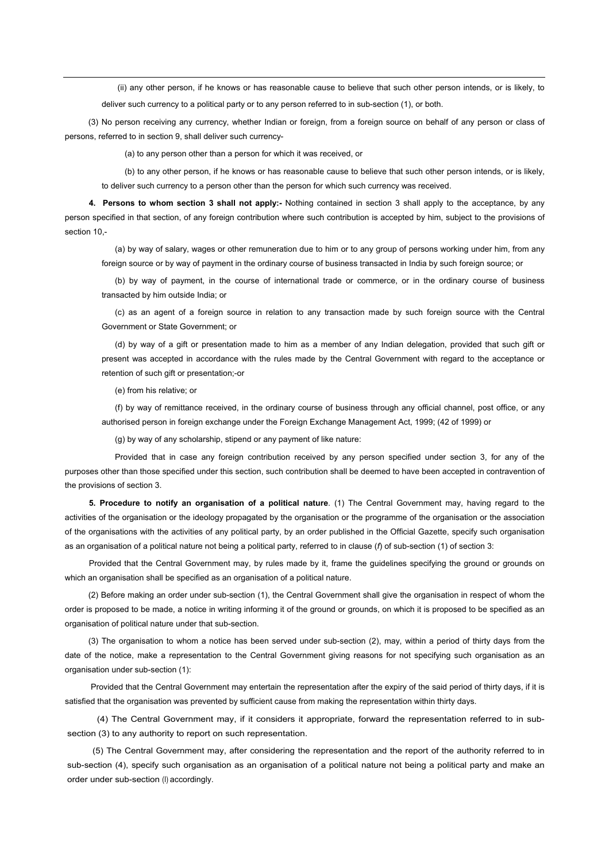(ii) any other person, if he knows or has reasonable cause to believe that such other person intends, or is likely, to deliver such currency to a political party or to any person referred to in sub-section (1), or both.

(3) No person receiving any currency, whether Indian or foreign, from a foreign source on behalf of any person or class of persons, referred to in section 9, shall deliver such currency-

(a) to any person other than a person for which it was received, or

(b) to any other person, if he knows or has reasonable cause to believe that such other person intends, or is likely, to deliver such currency to a person other than the person for which such currency was received.

**4. Persons to whom section 3 shall not apply:-** Nothing contained in section 3 shall apply to the acceptance, by any person specified in that section, of any foreign contribution where such contribution is accepted by him, subject to the provisions of section 10,-

(a) by way of salary, wages or other remuneration due to him or to any group of persons working under him, from any foreign source or by way of payment in the ordinary course of business transacted in India by such foreign source; or

(b) by way of payment, in the course of international trade or commerce, or in the ordinary course of business transacted by him outside India; or

(c) as an agent of a foreign source in relation to any transaction made by such foreign source with the Central Government or State Government; or

(d) by way of a gift or presentation made to him as a member of any Indian delegation, provided that such gift or present was accepted in accordance with the rules made by the Central Government with regard to the acceptance or retention of such gift or presentation;-or

(e) from his relative; or

(f) by way of remittance received, in the ordinary course of business through any official channel, post office, or any authorised person in foreign exchange under the Foreign Exchange Management Act, 1999; (42 of 1999) or

(g) by way of any scholarship, stipend or any payment of like nature:

Provided that in case any foreign contribution received by any person specified under section 3, for any of the purposes other than those specified under this section, such contribution shall be deemed to have been accepted in contravention of the provisions of section 3.

**5. Procedure to notify an organisation of a political nature**. (1) The Central Government may, having regard to the activities of the organisation or the ideology propagated by the organisation or the programme of the organisation or the association of the organisations with the activities of any political party, by an order published in the Official Gazette, specify such organisation as an organisation of a political nature not being a political party, referred to in clause (*f*) of sub-section (1) of section 3:

Provided that the Central Government may, by rules made by it, frame the guidelines specifying the ground or grounds on which an organisation shall be specified as an organisation of a political nature.

(2) Before making an order under sub-section (1), the Central Government shall give the organisation in respect of whom the order is proposed to be made, a notice in writing informing it of the ground or grounds, on which it is proposed to be specified as an organisation of political nature under that sub-section.

(3) The organisation to whom a notice has been served under sub-section (2), may, within a period of thirty days from the date of the notice, make a representation to the Central Government giving reasons for not specifying such organisation as an organisation under sub-section (1):

Provided that the Central Government may entertain the representation after the expiry of the said period of thirty days, if it is satisfied that the organisation was prevented by sufficient cause from making the representation within thirty days.

(4) The Central Government may, if it considers it appropriate, forward the representation referred to in subsection (3) to any authority to report on such representation.

(5) The Central Government may, after considering the representation and the report of the authority referred to in sub-section (4), specify such organisation as an organisation of a political nature not being a political party and make an order under sub-section (I) accordingly.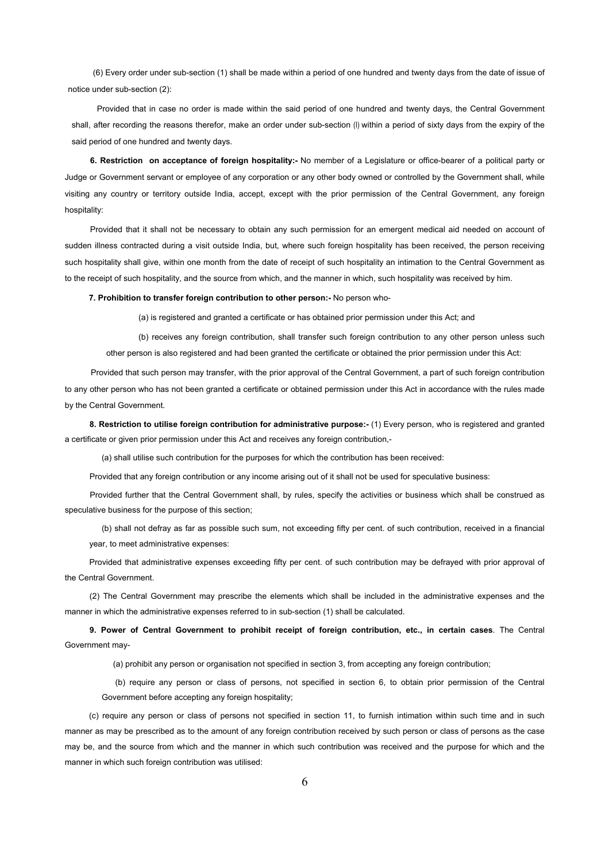(6) Every order under sub-section (1) shall be made within a period of one hundred and twenty days from the date of issue of notice under sub-section (2):

Provided that in case no order is made within the said period of one hundred and twenty days, the Central Government shall, after recording the reasons therefor, make an order under sub-section (I) within a period of sixty days from the expiry of the said period of one hundred and twenty days.

**6. Restriction on acceptance of foreign hospitality:-** No member of a Legislature or office-bearer of a political party or Judge or Government servant or employee of any corporation or any other body owned or controlled by the Government shall, while visiting any country or territory outside India, accept, except with the prior permission of the Central Government, any foreign hospitality:

Provided that it shall not be necessary to obtain any such permission for an emergent medical aid needed on account of sudden illness contracted during a visit outside India, but, where such foreign hospitality has been received, the person receiving such hospitality shall give, within one month from the date of receipt of such hospitality an intimation to the Central Government as to the receipt of such hospitality, and the source from which, and the manner in which, such hospitality was received by him.

**7. Prohibition to transfer foreign contribution to other person:-** No person who-

(a) is registered and granted a certificate or has obtained prior permission under this Act; and

(b) receives any foreign contribution, shall transfer such foreign contribution to any other person unless such other person is also registered and had been granted the certificate or obtained the prior permission under this Act:

Provided that such person may transfer, with the prior approval of the Central Government, a part of such foreign contribution to any other person who has not been granted a certificate or obtained permission under this Act in accordance with the rules made by the Central Government.

**8. Restriction to utilise foreign contribution for administrative purpose:-** (1) Every person, who is registered and granted a certificate or given prior permission under this Act and receives any foreign contribution,-

(a) shall utilise such contribution for the purposes for which the contribution has been received:

Provided that any foreign contribution or any income arising out of it shall not be used for speculative business:

Provided further that the Central Government shall, by rules, specify the activities or business which shall be construed as speculative business for the purpose of this section;

(b) shall not defray as far as possible such sum, not exceeding fifty per cent. of such contribution, received in a financial year, to meet administrative expenses:

Provided that administrative expenses exceeding fifty per cent. of such contribution may be defrayed with prior approval of the Central Government.

(2) The Central Government may prescribe the elements which shall be included in the administrative expenses and the manner in which the administrative expenses referred to in sub-section (1) shall be calculated.

**9. Power of Central Government to prohibit receipt of foreign contribution, etc., in certain cases**. The Central Government may-

(a) prohibit any person or organisation not specified in section 3, from accepting any foreign contribution;

(b) require any person or class of persons, not specified in section 6, to obtain prior permission of the Central Government before accepting any foreign hospitality;

(c) require any person or class of persons not specified in section 11, to furnish intimation within such time and in such manner as may be prescribed as to the amount of any foreign contribution received by such person or class of persons as the case may be, and the source from which and the manner in which such contribution was received and the purpose for which and the manner in which such foreign contribution was utilised: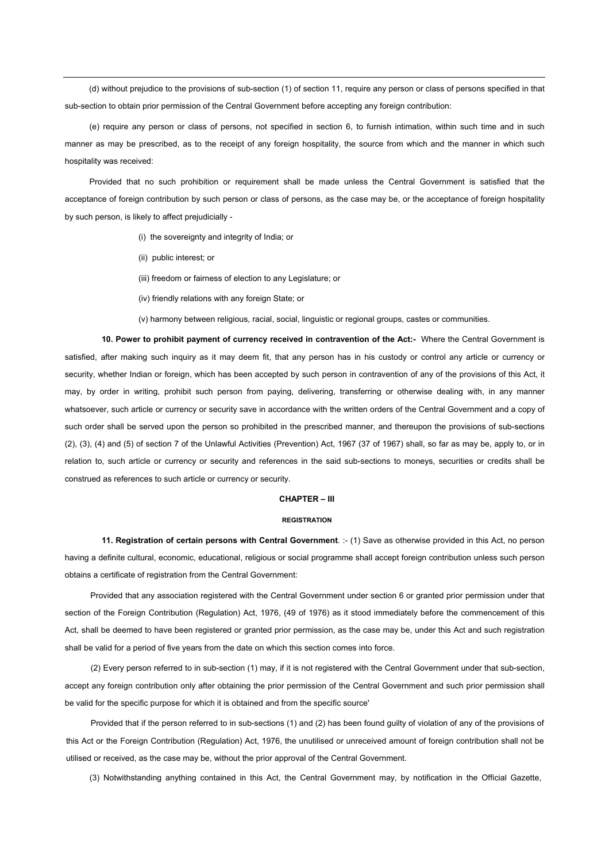(d) without prejudice to the provisions of sub-section (1) of section 11, require any person or class of persons specified in that sub-section to obtain prior permission of the Central Government before accepting any foreign contribution:

(e) require any person or class of persons, not specified in section 6, to furnish intimation, within such time and in such manner as may be prescribed, as to the receipt of any foreign hospitality, the source from which and the manner in which such hospitality was received:

Provided that no such prohibition or requirement shall be made unless the Central Government is satisfied that the acceptance of foreign contribution by such person or class of persons, as the case may be, or the acceptance of foreign hospitality by such person, is likely to affect prejudicially -

(i) the sovereignty and integrity of India; or

- (ii) public interest; or
- (iii) freedom or fairness of election to any Legislature; or
- (iv) friendly relations with any foreign State; or

(v) harmony between religious, racial, social, linguistic or regional groups, castes or communities.

**10. Power to prohibit payment of currency received in contravention of the Act:-** Where the Central Government is satisfied, after making such inquiry as it may deem fit, that any person has in his custody or control any article or currency or security, whether Indian or foreign, which has been accepted by such person in contravention of any of the provisions of this Act, it may, by order in writing, prohibit such person from paying, delivering, transferring or otherwise dealing with, in any manner whatsoever, such article or currency or security save in accordance with the written orders of the Central Government and a copy of such order shall be served upon the person so prohibited in the prescribed manner, and thereupon the provisions of sub-sections (2), (3), (4) and (5) of section 7 of the Unlawful Activities (Prevention) Act, 1967 (37 of 1967) shall, so far as may be, apply to, or in relation to, such article or currency or security and references in the said sub-sections to moneys, securities or credits shall be construed as references to such article or currency or security.

## **CHAPTER – III**

## **REGISTRATION**

**11. Registration of certain persons with Central Government**. :- (1) Save as otherwise provided in this Act, no person having a definite cultural, economic, educational, religious or social programme shall accept foreign contribution unless such person obtains a certificate of registration from the Central Government:

Provided that any association registered with the Central Government under section 6 or granted prior permission under that section of the Foreign Contribution (Regulation) Act, 1976, (49 of 1976) as it stood immediately before the commencement of this Act, shall be deemed to have been registered or granted prior permission, as the case may be, under this Act and such registration shall be valid for a period of five years from the date on which this section comes into force.

(2) Every person referred to in sub-section (1) may, if it is not registered with the Central Government under that sub-section, accept any foreign contribution only after obtaining the prior permission of the Central Government and such prior permission shall be valid for the specific purpose for which it is obtained and from the specific source'

Provided that if the person referred to in sub-sections (1) and (2) has been found guilty of violation of any of the provisions of this Act or the Foreign Contribution (Regulation) Act, 1976, the unutilised or unreceived amount of foreign contribution shall not be utilised or received, as the case may be, without the prior approval of the Central Government.

(3) Notwithstanding anything contained in this Act, the Central Government may, by notification in the Official Gazette,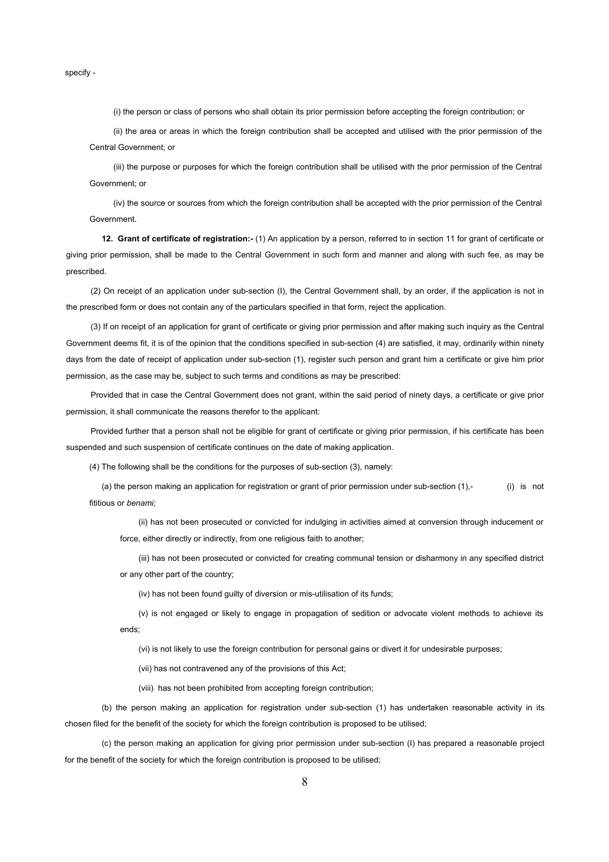specify -

(i) the person or class of persons who shall obtain its prior permission before accepting the foreign contribution; or

(ii) the area or areas in which the foreign contribution shall be accepted and utilised with the prior permission of the Central Government; or

(iii) the purpose or purposes for which the foreign contribution shall be utilised with the prior permission of the Central Government; or

(iv) the source or sources from which the foreign contribution shall be accepted with the prior permission of the Central Government.

**12. Grant of certificate of registration:-** (1) An application by a person, referred to in section 11 for grant of certificate or giving prior permission, shall be made to the Central Government in such form and manner and along with such fee, as may be prescribed.

(2) On receipt of an application under sub-section (I), the Central Government shall, by an order, if the application is not in the prescribed form or does not contain any of the particulars specified in that form, reject the application.

(3) If on receipt of an application for grant of certificate or giving prior permission and after making such inquiry as the Central Government deems fit, it is of the opinion that the conditions specified in sub-section (4) are satisfied, it may, ordinarily within ninety days from the date of receipt of application under sub-section (1), register such person and grant him a certificate or give him prior permission, as the case may be, subject to such terms and conditions as may be prescribed:

Provided that in case the Central Government does not grant, within the said period of ninety days, a certificate or give prior permission, it shall communicate the reasons therefor to the applicant:

Provided further that a person shall not be eligible for grant of certificate or giving prior permission, if his certificate has been suspended and such suspension of certificate continues on the date of making application.

(4) The following shall be the conditions for the purposes of sub-section (3), namely:

(a) the person making an application for registration or grant of prior permission under sub-section (1),- (i) is not fititious or *benami;*

(ii) has not been prosecuted or convicted for indulging in activities aimed at conversion through inducement or force, either directly or indirectly, from one religious faith to another;

(iii) has not been prosecuted or convicted for creating communal tension or disharmony in any specified district or any other part of the country;

(iv) has not been found guilty of diversion or mis-utilisation of its funds;

(v) is not engaged or likely to engage in propagation of sedition or advocate violent methods to achieve its ends;

(vi) is not likely to use the foreign contribution for personal gains or divert it for undesirable purposes;

(vii) has not contravened any of the provisions of this Act;

(viii) has not been prohibited from accepting foreign contribution;

(b) the person making an application for registration under sub-section (1) has undertaken reasonable activity in its chosen filed for the benefit of the society for which the foreign contribution is proposed to be utilised;

(c) the person making an application for giving prior permission under sub-section (I) has prepared a reasonable project for the benefit of the society for which the foreign contribution is proposed to be utilised;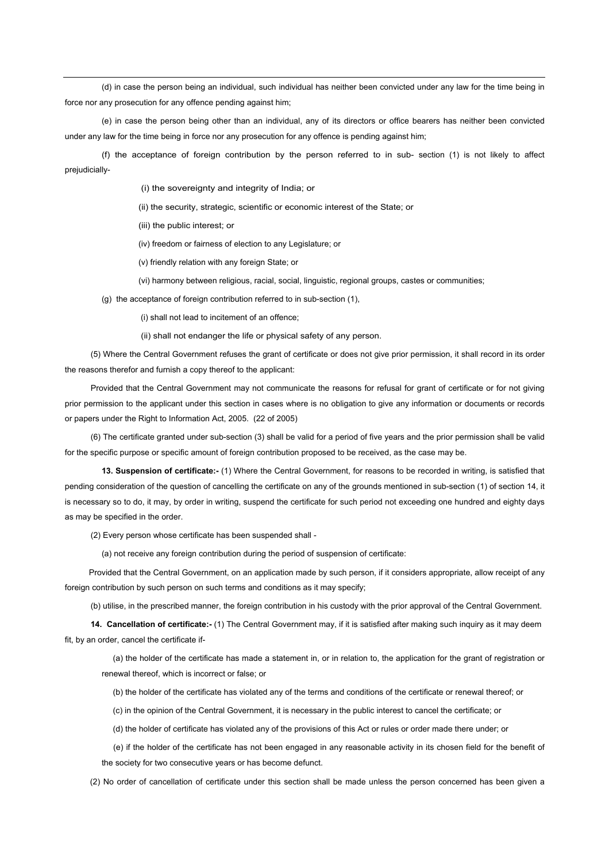(d) in case the person being an individual, such individual has neither been convicted under any law for the time being in force nor any prosecution for any offence pending against him;

(e) in case the person being other than an individual, any of its directors or office bearers has neither been convicted under any law for the time being in force nor any prosecution for any offence is pending against him;

(f) the acceptance of foreign contribution by the person referred to in sub- section (1) is not likely to affect prejudicially-

(i) the sovereignty and integrity of India; or

(ii) the security, strategic, scientific or economic interest of the State; or

(iii) the public interest; or

(iv) freedom or fairness of election to any Legislature; or

(v) friendly relation with any foreign State; or

(vi) harmony between religious, racial, social, linguistic, regional groups, castes or communities;

(g) the acceptance of foreign contribution referred to in sub-section (1),

(i) shall not lead to incitement of an offence;

(ii) shall not endanger the life or physical safety of any person.

(5) Where the Central Government refuses the grant of certificate or does not give prior permission, it shall record in its order the reasons therefor and furnish a copy thereof to the applicant:

Provided that the Central Government may not communicate the reasons for refusal for grant of certificate or for not giving prior permission to the applicant under this section in cases where is no obligation to give any information or documents or records or papers under the Right to Information Act, 2005. (22 of 2005)

(6) The certificate granted under sub-section (3) shall be valid for a period of five years and the prior permission shall be valid for the specific purpose or specific amount of foreign contribution proposed to be received, as the case may be.

**13. Suspension of certificate:-** (1) Where the Central Government, for reasons to be recorded in writing, is satisfied that pending consideration of the question of cancelling the certificate on any of the grounds mentioned in sub-section (1) of section 14, it is necessary so to do, it may, by order in writing, suspend the certificate for such period not exceeding one hundred and eighty days as may be specified in the order.

(2) Every person whose certificate has been suspended shall -

(a) not receive any foreign contribution during the period of suspension of certificate:

Provided that the Central Government, on an application made by such person, if it considers appropriate, allow receipt of any foreign contribution by such person on such terms and conditions as it may specify;

(b) utilise, in the prescribed manner, the foreign contribution in his custody with the prior approval of the Central Government.

**14. Cancellation of certificate:-** (1) The Central Government may, if it is satisfied after making such inquiry as it may deem fit, by an order, cancel the certificate if-

(a) the holder of the certificate has made a statement in, or in relation to, the application for the grant of registration or renewal thereof, which is incorrect or false; or

(b) the holder of the certificate has violated any of the terms and conditions of the certificate or renewal thereof; or

(c) in the opinion of the Central Government, it is necessary in the public interest to cancel the certificate; or

(d) the holder of certificate has violated any of the provisions of this Act or rules or order made there under; or

(e) if the holder of the certificate has not been engaged in any reasonable activity in its chosen field for the benefit of the society for two consecutive years or has become defunct.

(2) No order of cancellation of certificate under this section shall be made unless the person concerned has been given a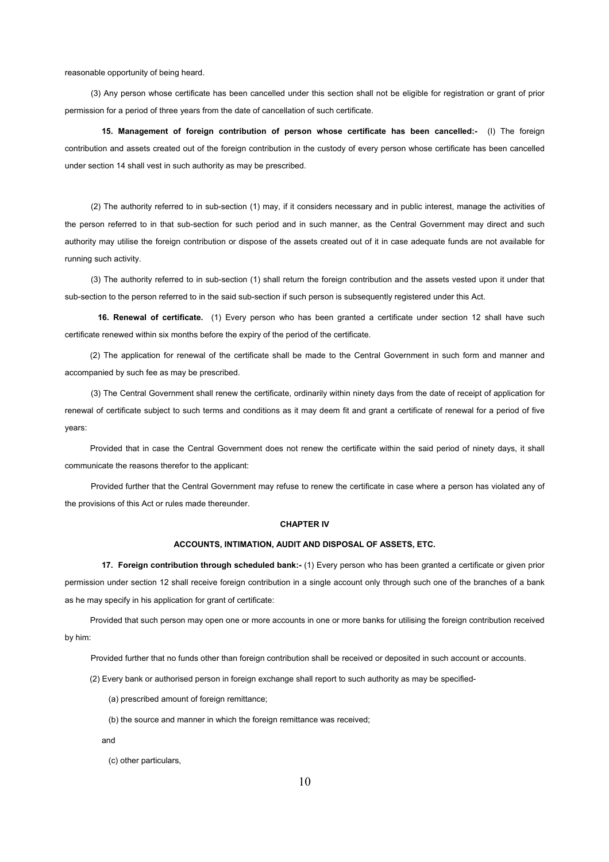reasonable opportunity of being heard.

(3) Any person whose certificate has been cancelled under this section shall not be eligible for registration or grant of prior permission for a period of three years from the date of cancellation of such certificate.

**15. Management of foreign contribution of person whose certificate has been cancelled:-** (I) The foreign contribution and assets created out of the foreign contribution in the custody of every person whose certificate has been cancelled under section 14 shall vest in such authority as may be prescribed.

(2) The authority referred to in sub-section (1) may, if it considers necessary and in public interest, manage the activities of the person referred to in that sub-section for such period and in such manner, as the Central Government may direct and such authority may utilise the foreign contribution or dispose of the assets created out of it in case adequate funds are not available for running such activity.

(3) The authority referred to in sub-section (1) shall return the foreign contribution and the assets vested upon it under that sub-section to the person referred to in the said sub-section if such person is subsequently registered under this Act.

**16. Renewal of certificate.** (1) Every person who has been granted a certificate under section 12 shall have such certificate renewed within six months before the expiry of the period of the certificate.

(2) The application for renewal of the certificate shall be made to the Central Government in such form and manner and accompanied by such fee as may be prescribed.

(3) The Central Government shall renew the certificate, ordinarily within ninety days from the date of receipt of application for renewal of certificate subject to such terms and conditions as it may deem fit and grant a certificate of renewal for a period of five years:

Provided that in case the Central Government does not renew the certificate within the said period of ninety days, it shall communicate the reasons therefor to the applicant:

Provided further that the Central Government may refuse to renew the certificate in case where a person has violated any of the provisions of this Act or rules made thereunder.

## **CHAPTER IV**

#### **ACCOUNTS, INTIMATION, AUDIT AND DISPOSAL OF ASSETS, ETC.**

**17. Foreign contribution through scheduled bank:-** (1) Every person who has been granted a certificate or given prior permission under section 12 shall receive foreign contribution in a single account only through such one of the branches of a bank as he may specify in his application for grant of certificate:

Provided that such person may open one or more accounts in one or more banks for utilising the foreign contribution received by him:

Provided further that no funds other than foreign contribution shall be received or deposited in such account or accounts.

(2) Every bank or authorised person in foreign exchange shall report to such authority as may be specified-

- (a) prescribed amount of foreign remittance;
- (b) the source and manner in which the foreign remittance was received;
- and

(c) other particulars,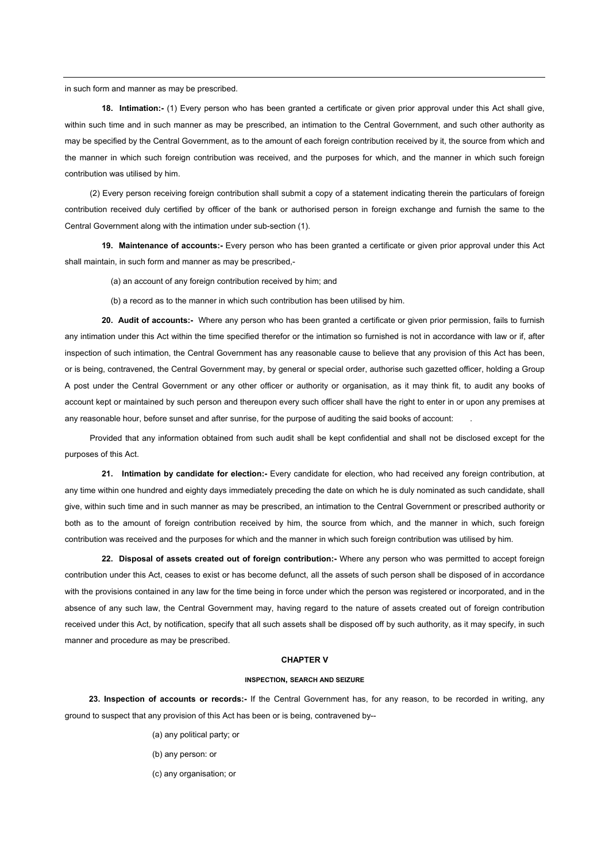in such form and manner as may be prescribed.

**18. Intimation:-** (1) Every person who has been granted a certificate or given prior approval under this Act shall give, within such time and in such manner as may be prescribed, an intimation to the Central Government, and such other authority as may be specified by the Central Government, as to the amount of each foreign contribution received by it, the source from which and the manner in which such foreign contribution was received, and the purposes for which, and the manner in which such foreign contribution was utilised by him.

(2) Every person receiving foreign contribution shall submit a copy of a statement indicating therein the particulars of foreign contribution received duly certified by officer of the bank or authorised person in foreign exchange and furnish the same to the Central Government along with the intimation under sub-section (1).

**19. Maintenance of accounts:-** Every person who has been granted a certificate or given prior approval under this Act shall maintain, in such form and manner as may be prescribed,-

(a) an account of any foreign contribution received by him; and

(b) a record as to the manner in which such contribution has been utilised by him.

**20. Audit of accounts:-** Where any person who has been granted a certificate or given prior permission, fails to furnish any intimation under this Act within the time specified therefor or the intimation so furnished is not in accordance with law or if, after inspection of such intimation, the Central Government has any reasonable cause to believe that any provision of this Act has been, or is being, contravened, the Central Government may, by general or special order, authorise such gazetted officer, holding a Group A post under the Central Government or any other officer or authority or organisation, as it may think fit, to audit any books of account kept or maintained by such person and thereupon every such officer shall have the right to enter in or upon any premises at any reasonable hour, before sunset and after sunrise, for the purpose of auditing the said books of account: .

Provided that any information obtained from such audit shall be kept confidential and shall not be disclosed except for the purposes of this Act.

**21. Intimation by candidate for election:-** Every candidate for election, who had received any foreign contribution, at any time within one hundred and eighty days immediately preceding the date on which he is duly nominated as such candidate, shall give, within such time and in such manner as may be prescribed, an intimation to the Central Government or prescribed authority or both as to the amount of foreign contribution received by him, the source from which, and the manner in which, such foreign contribution was received and the purposes for which and the manner in which such foreign contribution was utilised by him.

**22. Disposal of assets created out of foreign contribution:-** Where any person who was permitted to accept foreign contribution under this Act, ceases to exist or has become defunct, all the assets of such person shall be disposed of in accordance with the provisions contained in any law for the time being in force under which the person was registered or incorporated, and in the absence of any such law, the Central Government may, having regard to the nature of assets created out of foreign contribution received under this Act, by notification, specify that all such assets shall be disposed off by such authority, as it may specify, in such manner and procedure as may be prescribed.

#### **CHAPTER V**

#### **INSPECTION, SEARCH AND SEIZURE**

**23. Inspection of accounts or records:-** If the Central Government has, for any reason, to be recorded in writing, any ground to suspect that any provision of this Act has been or is being, contravened by--

- (a) any political party; or
- (b) any person: or
- (c) any organisation; or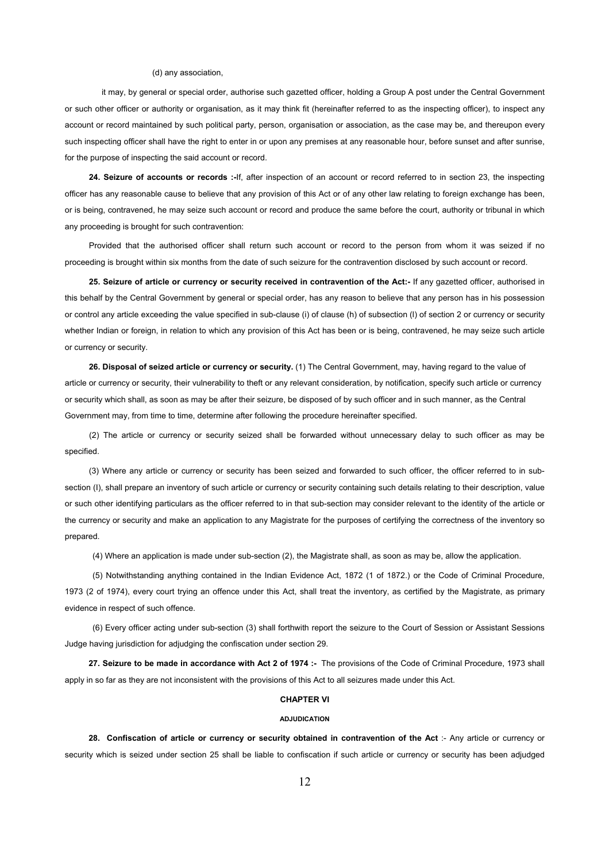#### (d) any association,

it may, by general or special order, authorise such gazetted officer, holding a Group A post under the Central Government or such other officer or authority or organisation, as it may think fit (hereinafter referred to as the inspecting officer), to inspect any account or record maintained by such political party, person, organisation or association, as the case may be, and thereupon every such inspecting officer shall have the right to enter in or upon any premises at any reasonable hour, before sunset and after sunrise, for the purpose of inspecting the said account or record.

**24. Seizure of accounts or records :-**If, after inspection of an account or record referred to in section 23, the inspecting officer has any reasonable cause to believe that any provision of this Act or of any other law relating to foreign exchange has been, or is being, contravened, he may seize such account or record and produce the same before the court, authority or tribunal in which any proceeding is brought for such contravention:

Provided that the authorised officer shall return such account or record to the person from whom it was seized if no proceeding is brought within six months from the date of such seizure for the contravention disclosed by such account or record.

**25. Seizure of article or currency or security received in contravention of the Act:-** If any gazetted officer, authorised in this behalf by the Central Government by general or special order, has any reason to believe that any person has in his possession or control any article exceeding the value specified in sub-clause (i) of clause (h) of subsection (l) of section 2 or currency or security whether Indian or foreign, in relation to which any provision of this Act has been or is being, contravened, he may seize such article or currency or security.

**26. Disposal of seized article or currency or security.** (1) The Central Government, may, having regard to the value of article or currency or security, their vulnerability to theft or any relevant consideration, by notification, specify such article or currency or security which shall, as soon as may be after their seizure, be disposed of by such officer and in such manner, as the Central Government may, from time to time, determine after following the procedure hereinafter specified.

(2) The article or currency or security seized shall be forwarded without unnecessary delay to such officer as may be specified.

(3) Where any article or currency or security has been seized and forwarded to such officer, the officer referred to in subsection (I), shall prepare an inventory of such article or currency or security containing such details relating to their description, value or such other identifying particulars as the officer referred to in that sub-section may consider relevant to the identity of the article or the currency or security and make an application to any Magistrate for the purposes of certifying the correctness of the inventory so prepared.

(4) Where an application is made under sub-section (2), the Magistrate shall, as soon as may be, allow the application.

(5) Notwithstanding anything contained in the Indian Evidence Act, 1872 (1 of 1872.) or the Code of Criminal Procedure, 1973 (2 of 1974), every court trying an offence under this Act, shall treat the inventory, as certified by the Magistrate, as primary evidence in respect of such offence.

(6) Every officer acting under sub-section (3) shall forthwith report the seizure to the Court of Session or Assistant Sessions Judge having jurisdiction for adjudging the confiscation under section 29.

**27. Seizure to be made in accordance with Act 2 of 1974 :-** The provisions of the Code of Criminal Procedure, 1973 shall apply in so far as they are not inconsistent with the provisions of this Act to all seizures made under this Act.

## **CHAPTER VI**

#### **ADJUDICATION**

**28. Confiscation of article or currency or security obtained in contravention of the Act** :- Any article or currency or security which is seized under section 25 shall be liable to confiscation if such article or currency or security has been adjudged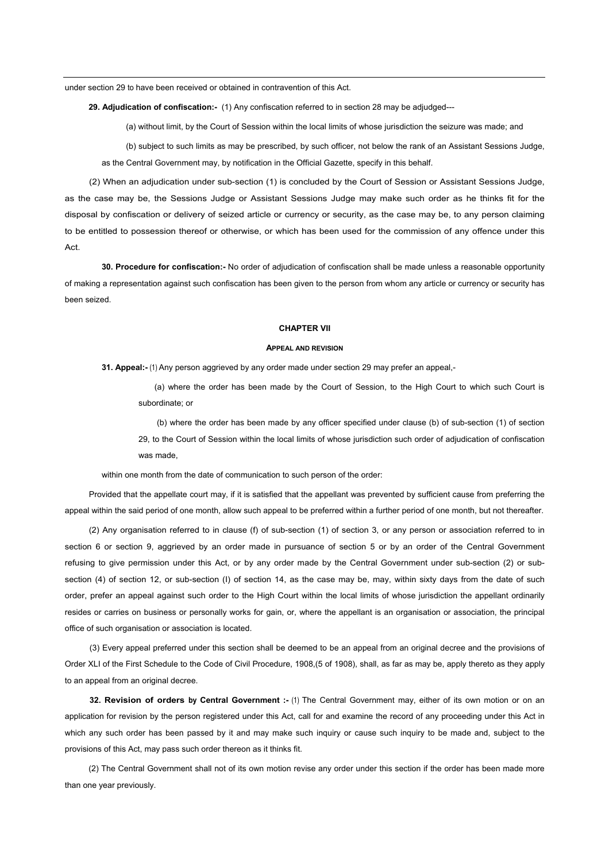under section 29 to have been received or obtained in contravention of this Act.

**29. Adjudication of confiscation:-** (1) Any confiscation referred to in section 28 may be adjudged---

(a) without limit, by the Court of Session within the local limits of whose jurisdiction the seizure was made; and

(b) subject to such limits as may be prescribed, by such officer, not below the rank of an Assistant Sessions Judge, as the Central Government may, by notification in the Official Gazette, specify in this behalf.

(2) When an adjudication under sub-section (1) is concluded by the Court of Session or Assistant Sessions Judge, as the case may be, the Sessions Judge or Assistant Sessions Judge may make such order as he thinks fit for the disposal by confiscation or delivery of seized article or currency or security, as the case may be, to any person claiming to be entitled to possession thereof or otherwise, or which has been used for the commission of any offence under this Act.

**30. Procedure for confiscation:-** No order of adjudication of confiscation shall be made unless a reasonable opportunity of making a representation against such confiscation has been given to the person from whom any article or currency or security has been seized.

#### **CHAPTER VII**

#### **APPEAL AND REVISION**

**31. Appeal:-** (1) Any person aggrieved by any order made under section 29 may prefer an appeal,-

 (a) where the order has been made by the Court of Session, to the High Court to which such Court is subordinate; or

(b) where the order has been made by any officer specified under clause (b) of sub-section (1) of section 29, to the Court of Session within the local limits of whose jurisdiction such order of adjudication of confiscation was made,

within one month from the date of communication to such person of the order:

Provided that the appellate court may, if it is satisfied that the appellant was prevented by sufficient cause from preferring the appeal within the said period of one month, allow such appeal to be preferred within a further period of one month, but not thereafter.

(2) Any organisation referred to in clause (f) of sub-section (1) of section 3, or any person or association referred to in section 6 or section 9, aggrieved by an order made in pursuance of section 5 or by an order of the Central Government refusing to give permission under this Act, or by any order made by the Central Government under sub-section (2) or subsection (4) of section 12, or sub-section (I) of section 14, as the case may be, may, within sixty days from the date of such order, prefer an appeal against such order to the High Court within the local limits of whose jurisdiction the appellant ordinarily resides or carries on business or personally works for gain, or, where the appellant is an organisation or association, the principal office of such organisation or association is located.

(3) Every appeal preferred under this section shall be deemed to be an appeal from an original decree and the provisions of Order XLI of the First Schedule to the Code of Civil Procedure, 1908,(5 of 1908), shall, as far as may be, apply thereto as they apply to an appeal from an original decree.

**32. Revision of orders by Central Government :-** (1) The Central Government may, either of its own motion or on an application for revision by the person registered under this Act, call for and examine the record of any proceeding under this Act in which any such order has been passed by it and may make such inquiry or cause such inquiry to be made and, subject to the provisions of this Act, may pass such order thereon as it thinks fit.

(2) The Central Government shall not of its own motion revise any order under this section if the order has been made more than one year previously.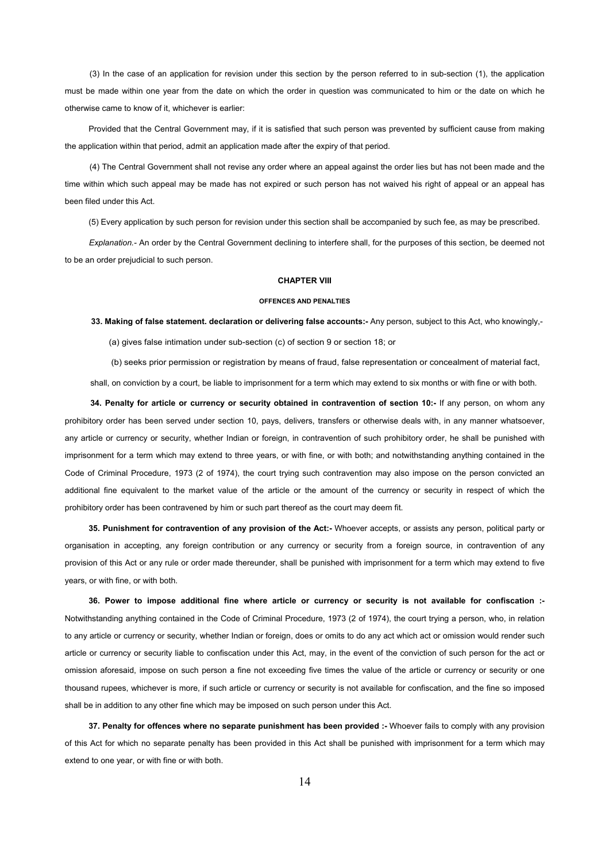(3) In the case of an application for revision under this section by the person referred to in sub-section (1), the application must be made within one year from the date on which the order in question was communicated to him or the date on which he otherwise came to know of it, whichever is earlier:

Provided that the Central Government may, if it is satisfied that such person was prevented by sufficient cause from making the application within that period, admit an application made after the expiry of that period.

(4) The Central Government shall not revise any order where an appeal against the order lies but has not been made and the time within which such appeal may be made has not expired or such person has not waived his right of appeal or an appeal has been filed under this Act.

(5) Every application by such person for revision under this section shall be accompanied by such fee, as may be prescribed.

*Explanation.-* An order by the Central Government declining to interfere shall, for the purposes of this section, be deemed not to be an order prejudicial to such person.

## **CHAPTER VIII**

#### **OFFENCES AND PENALTIES**

 **33. Making of false statement. declaration or delivering false accounts:-** Any person, subject to this Act, who knowingly,-

(a) gives false intimation under sub-section (c) of section 9 or section 18; or

 (b) seeks prior permission or registration by means of fraud, false representation or concealment of material fact, shall, on conviction by a court, be liable to imprisonment for a term which may extend to six months or with fine or with both.

**34. Penalty for article or currency or security obtained in contravention of section 10:-** If any person, on whom any prohibitory order has been served under section 10, pays, delivers, transfers or otherwise deals with, in any manner whatsoever, any article or currency or security, whether Indian or foreign, in contravention of such prohibitory order, he shall be punished with imprisonment for a term which may extend to three years, or with fine, or with both; and notwithstanding anything contained in the Code of Criminal Procedure, 1973 (2 of 1974), the court trying such contravention may also impose on the person convicted an additional fine equivalent to the market value of the article or the amount of the currency or security in respect of which the prohibitory order has been contravened by him or such part thereof as the court may deem fit.

**35. Punishment for contravention of any provision of the Act:-** Whoever accepts, or assists any person, political party or organisation in accepting, any foreign contribution or any currency or security from a foreign source, in contravention of any provision of this Act or any rule or order made thereunder, shall be punished with imprisonment for a term which may extend to five years, or with fine, or with both.

**36. Power to impose additional fine where article or currency or security is not available for confiscation :-** Notwithstanding anything contained in the Code of Criminal Procedure, 1973 (2 of 1974), the court trying a person, who, in relation to any article or currency or security, whether Indian or foreign, does or omits to do any act which act or omission would render such article or currency or security liable to confiscation under this Act, may, in the event of the conviction of such person for the act or omission aforesaid, impose on such person a fine not exceeding five times the value of the article or currency or security or one thousand rupees, whichever is more, if such article or currency or security is not available for confiscation, and the fine so imposed shall be in addition to any other fine which may be imposed on such person under this Act.

**37. Penalty for offences where no separate punishment has been provided :-** Whoever fails to comply with any provision of this Act for which no separate penalty has been provided in this Act shall be punished with imprisonment for a term which may extend to one year, or with fine or with both.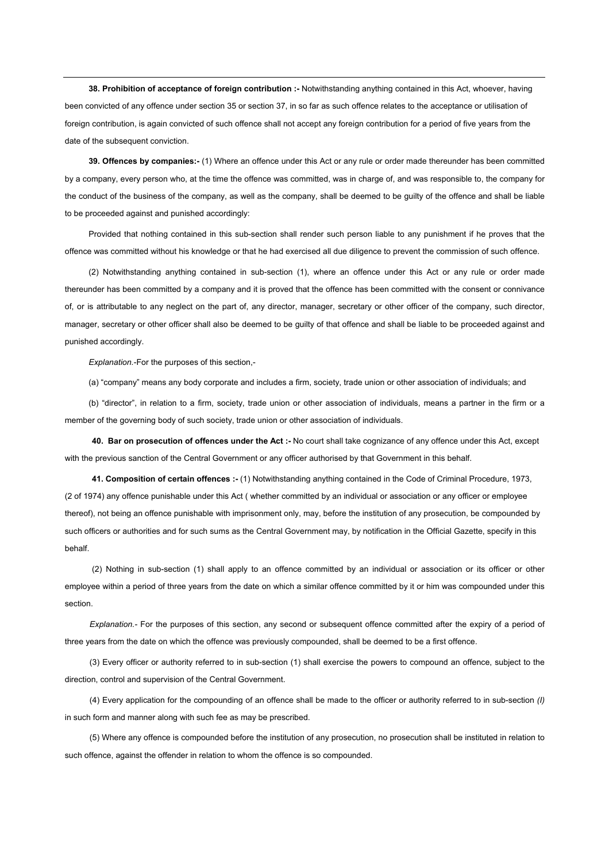**38. Prohibition of acceptance of foreign contribution :-** Notwithstanding anything contained in this Act, whoever, having been convicted of any offence under section 35 or section 37, in so far as such offence relates to the acceptance or utilisation of foreign contribution, is again convicted of such offence shall not accept any foreign contribution for a period of five years from the date of the subsequent conviction.

**39. Offences by companies:-** (1) Where an offence under this Act or any rule or order made thereunder has been committed by a company, every person who, at the time the offence was committed, was in charge of, and was responsible to, the company for the conduct of the business of the company, as well as the company, shall be deemed to be guilty of the offence and shall be liable to be proceeded against and punished accordingly:

Provided that nothing contained in this sub-section shall render such person liable to any punishment if he proves that the offence was committed without his knowledge or that he had exercised all due diligence to prevent the commission of such offence.

(2) Notwithstanding anything contained in sub-section (1), where an offence under this Act or any rule or order made thereunder has been committed by a company and it is proved that the offence has been committed with the consent or connivance of, or is attributable to any neglect on the part of, any director, manager, secretary or other officer of the company, such director, manager, secretary or other officer shall also be deemed to be guilty of that offence and shall be liable to be proceeded against and punished accordingly.

*Explanation.*-For the purposes of this section,-

(a) "company" means any body corporate and includes a firm, society, trade union or other association of individuals; and

(b) "director", in relation to a firm, society, trade union or other association of individuals, means a partner in the firm or a member of the governing body of such society, trade union or other association of individuals.

**40. Bar on prosecution of offences under the Act :-** No court shall take cognizance of any offence under this Act, except with the previous sanction of the Central Government or any officer authorised by that Government in this behalf.

**41. Composition of certain offences :-** (1) Notwithstanding anything contained in the Code of Criminal Procedure, 1973, (2 of 1974) any offence punishable under this Act ( whether committed by an individual or association or any officer or employee thereof), not being an offence punishable with imprisonment only, may, before the institution of any prosecution, be compounded by such officers or authorities and for such sums as the Central Government may, by notification in the Official Gazette, specify in this behalf.

(2) Nothing in sub-section (1) shall apply to an offence committed by an individual or association or its officer or other employee within a period of three years from the date on which a similar offence committed by it or him was compounded under this section.

*Explanation.-* For the purposes of this section, any second or subsequent offence committed after the expiry of a period of three years from the date on which the offence was previously compounded, shall be deemed to be a first offence.

(3) Every officer or authority referred to in sub-section (1) shall exercise the powers to compound an offence, subject to the direction, control and supervision of the Central Government.

(4) Every application for the compounding of an offence shall be made to the officer or authority referred to in sub-section *(I)*  in such form and manner along with such fee as may be prescribed.

(5) Where any offence is compounded before the institution of any prosecution, no prosecution shall be instituted in relation to such offence, against the offender in relation to whom the offence is so compounded.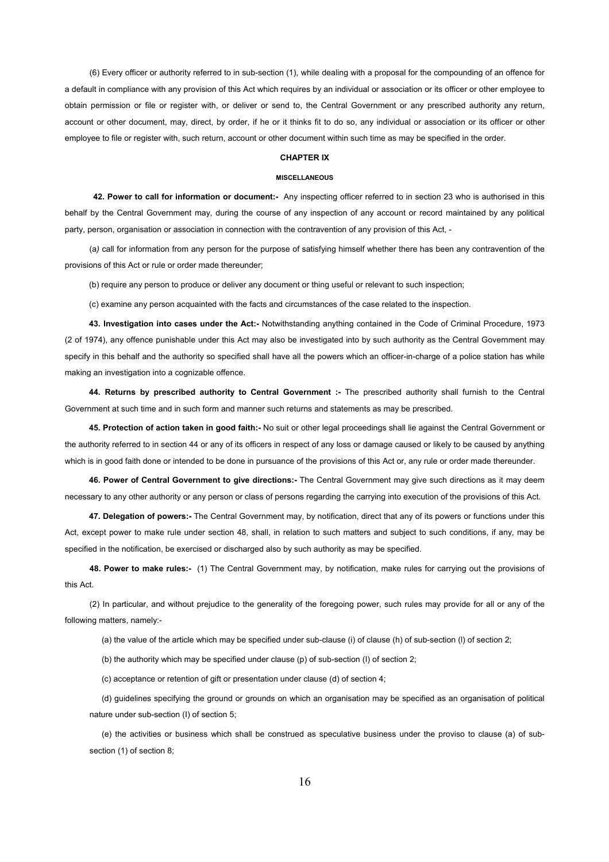(6) Every officer or authority referred to in sub-section (1), while dealing with a proposal for the compounding of an offence for a default in compliance with any provision of this Act which requires by an individual or association or its officer or other employee to obtain permission or file or register with, or deliver or send to, the Central Government or any prescribed authority any return, account or other document, may, direct, by order, if he or it thinks fit to do so, any individual or association or its officer or other employee to file or register with, such return, account or other document within such time as may be specified in the order.

#### **CHAPTER IX**

#### **MISCELLANEOUS**

**42. Power to call for information or document:-** Any inspecting officer referred to in section 23 who is authorised in this behalf by the Central Government may, during the course of any inspection of any account or record maintained by any political party, person, organisation or association in connection with the contravention of any provision of this Act, -

(a*)* call for information from any person for the purpose of satisfying himself whether there has been any contravention of the provisions of this Act or rule or order made thereunder;

(b) require any person to produce or deliver any document or thing useful or relevant to such inspection;

(c) examine any person acquainted with the facts and circumstances of the case related to the inspection.

**43. Investigation into cases under the Act:-** Notwithstanding anything contained in the Code of Criminal Procedure, 1973 (2 of 1974), any offence punishable under this Act may also be investigated into by such authority as the Central Government may specify in this behalf and the authority so specified shall have all the powers which an officer-in-charge of a police station has while making an investigation into a cognizable offence.

**44. Returns by prescribed authority to Central Government :-** The prescribed authority shall furnish to the Central Government at such time and in such form and manner such returns and statements as may be prescribed.

**45. Protection of action taken in good faith:-** No suit or other legal proceedings shall lie against the Central Government or the authority referred to in section 44 or any of its officers in respect of any loss or damage caused or likely to be caused by anything which is in good faith done or intended to be done in pursuance of the provisions of this Act or, any rule or order made thereunder.

**46. Power of Central Government to give directions:-** The Central Government may give such directions as it may deem necessary to any other authority or any person or class of persons regarding the carrying into execution of the provisions of this Act.

**47. Delegation of powers:-** The Central Government may, by notification, direct that any of its powers or functions under this Act, except power to make rule under section 48, shall, in relation to such matters and subject to such conditions, if any, may be specified in the notification, be exercised or discharged also by such authority as may be specified.

**48. Power to make rules:-** (1) The Central Government may, by notification, make rules for carrying out the provisions of this Act.

(2) In particular, and without prejudice to the generality of the foregoing power, such rules may provide for all or any of the following matters, namely:-

(a) the value of the article which may be specified under sub-clause (i) of clause (h) of sub-section (l) of section 2;

(b) the authority which may be specified under clause (p) of sub-section (I) of section 2;

(c) acceptance or retention of gift or presentation under clause (d) of section 4;

(d) guidelines specifying the ground or grounds on which an organisation may be specified as an organisation of political nature under sub-section (I) of section 5;

(e) the activities or business which shall be construed as speculative business under the proviso to clause (a) of subsection (1) of section 8;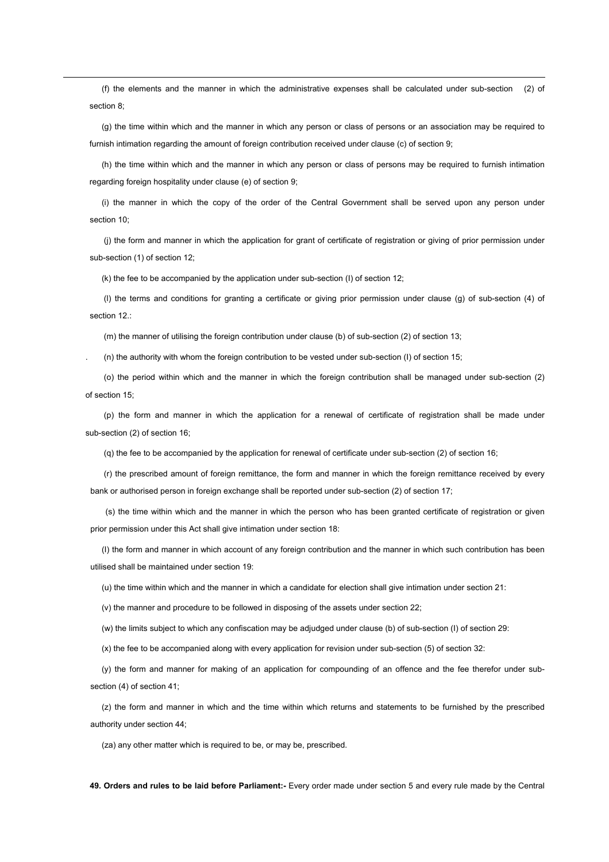(f) the elements and the manner in which the administrative expenses shall be calculated under sub-section (2) of section 8;

(g) the time within which and the manner in which any person or class of persons or an association may be required to furnish intimation regarding the amount of foreign contribution received under clause (c) of section 9:

(h) the time within which and the manner in which any person or class of persons may be required to furnish intimation regarding foreign hospitality under clause (e) of section 9;

(i) the manner in which the copy of the order of the Central Government shall be served upon any person under section 10;

 (j) the form and manner in which the application for grant of certificate of registration or giving of prior permission under sub-section (1) of section 12;

(k) the fee to be accompanied by the application under sub-section (I) of section 12;

 (l) the terms and conditions for granting a certificate or giving prior permission under clause (g) of sub-section (4) of section 12.:

(m) the manner of utilising the foreign contribution under clause (b) of sub-section (2) of section 13;

. (n) the authority with whom the foreign contribution to be vested under sub-section (I) of section 15;

 (o) the period within which and the manner in which the foreign contribution shall be managed under sub-section (2) of section 15;

 (p) the form and manner in which the application for a renewal of certificate of registration shall be made under sub-section (2) of section 16;

(q) the fee to be accompanied by the application for renewal of certificate under sub-section (2) of section 16;

 (r) the prescribed amount of foreign remittance, the form and manner in which the foreign remittance received by every bank or authorised person in foreign exchange shall be reported under sub-section (2) of section 17;

 (s) the time within which and the manner in which the person who has been granted certificate of registration or given prior permission under this Act shall give intimation under section 18:

(I) the form and manner in which account of any foreign contribution and the manner in which such contribution has been utilised shall be maintained under section 19:

(u) the time within which and the manner in which a candidate for election shall give intimation under section 21:

(v) the manner and procedure to be followed in disposing of the assets under section 22;

(w) the limits subject to which any confiscation may be adjudged under clause (b) of sub-section (I) of section 29:

(x) the fee to be accompanied along with every application for revision under sub-section (5) of section 32:

(y) the form and manner for making of an application for compounding of an offence and the fee therefor under subsection (4) of section 41;

(z) the form and manner in which and the time within which returns and statements to be furnished by the prescribed authority under section 44;

(za) any other matter which is required to be, or may be, prescribed.

**49. Orders and rules to be laid before Parliament:-** Every order made under section 5 and every rule made by the Central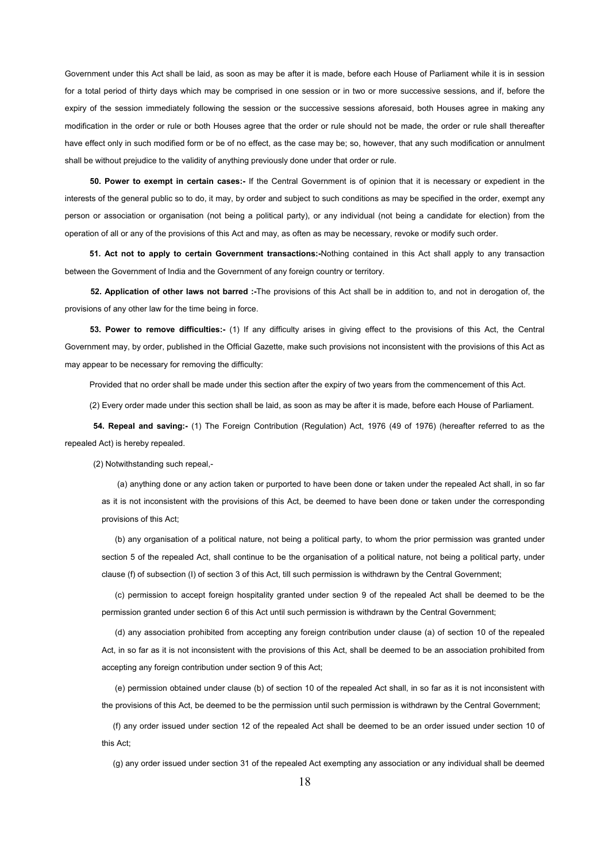Government under this Act shall be laid, as soon as may be after it is made, before each House of Parliament while it is in session for a total period of thirty days which may be comprised in one session or in two or more successive sessions, and if, before the expiry of the session immediately following the session or the successive sessions aforesaid, both Houses agree in making any modification in the order or rule or both Houses agree that the order or rule should not be made, the order or rule shall thereafter have effect only in such modified form or be of no effect, as the case may be; so, however, that any such modification or annulment shall be without prejudice to the validity of anything previously done under that order or rule.

**50. Power to exempt in certain cases:-** If the Central Government is of opinion that it is necessary or expedient in the interests of the general public so to do, it may, by order and subject to such conditions as may be specified in the order, exempt any person or association or organisation (not being a political party), or any individual (not being a candidate for election) from the operation of all or any of the provisions of this Act and may, as often as may be necessary, revoke or modify such order.

**51. Act not to apply to certain Government transactions:-**Nothing contained in this Act shall apply to any transaction between the Government of India and the Government of any foreign country or territory.

**52. Application of other laws not barred :-**The provisions of this Act shall be in addition to, and not in derogation of, the provisions of any other law for the time being in force.

**53. Power to remove difficulties:-** (1) If any difficulty arises in giving effect to the provisions of this Act, the Central Government may, by order, published in the Official Gazette, make such provisions not inconsistent with the provisions of this Act as may appear to be necessary for removing the difficulty:

Provided that no order shall be made under this section after the expiry of two years from the commencement of this Act.

(2) Every order made under this section shall be laid, as soon as may be after it is made, before each House of Parliament.

**54. Repeal and saving:-** (1) The Foreign Contribution (Regulation) Act, 1976 (49 of 1976) (hereafter referred to as the repealed Act) is hereby repealed.

(2) Notwithstanding such repeal,-

(a) anything done or any action taken or purported to have been done or taken under the repealed Act shall, in so far as it is not inconsistent with the provisions of this Act, be deemed to have been done or taken under the corresponding provisions of this Act;

(b) any organisation of a political nature, not being a political party, to whom the prior permission was granted under section 5 of the repealed Act, shall continue to be the organisation of a political nature, not being a political party, under clause (f) of subsection (I) of section 3 of this Act, till such permission is withdrawn by the Central Government;

(c) permission to accept foreign hospitality granted under section 9 of the repealed Act shall be deemed to be the permission granted under section 6 of this Act until such permission is withdrawn by the Central Government;

(d) any association prohibited from accepting any foreign contribution under clause (a) of section 10 of the repealed Act, in so far as it is not inconsistent with the provisions of this Act, shall be deemed to be an association prohibited from accepting any foreign contribution under section 9 of this Act;

(e) permission obtained under clause (b) of section 10 of the repealed Act shall, in so far as it is not inconsistent with the provisions of this Act, be deemed to be the permission until such permission is withdrawn by the Central Government;

(f) any order issued under section 12 of the repealed Act shall be deemed to be an order issued under section 10 of this Act;

(g) any order issued under section 31 of the repealed Act exempting any association or any individual shall be deemed